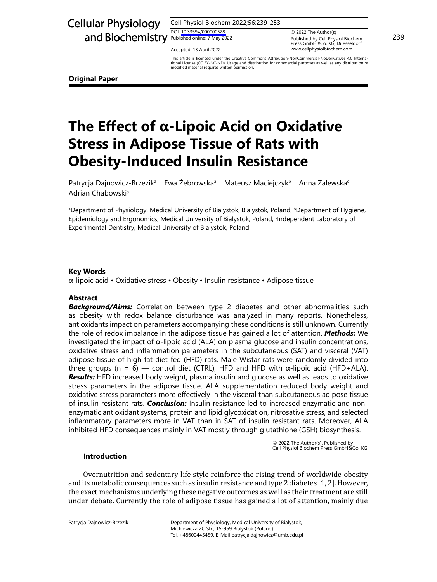Cell Physiol Biochem 2022;56:239-253

DOI: [10.33594/00000052](https://doi.org/10.33594/000000528)8 DOI: 10.33594/000000528

Accepted: 13 April 2022

Published online: 7 May 2022 **239**<br>Press GmbH&Co. KG, Duesseldorf **Physiol Biochem** 239 © 2022 The Author(s) Accepted: 13 April 2022 **Accepted: 13 April 2022 Accepted: 13 April 2022** 

with Obesity-Induced Insulin Resistance This article is licensed under the Creative Commons Attribution-NonCommercial-NoDerivatives 4.0 International License (CC BY-NC-ND). Usage and distribution for commercial purposes as well as any distribution of modified material requires written permission.

**Original Paper**

# **The Effect of α-Lipoic Acid on Oxidative Stress in Adipose Tissue of Rats with Obesity-Induced Insulin Resistance**

Patrycja Dajnowicz-Brzezikª Ewa Żebrowskaª Mateusz Maciejczyk<sup>b</sup> Anna Zalewska<sup>c</sup> Adrian Chabowski<sup>a</sup>

a Department of Physiology, Medical University of Bialystok, Bialystok, Poland, bDepartment of Hygiene, Epidemiology and Ergonomics, Medical University of Bialystok, Poland, <sup>c</sup> Independent Laboratory of Experimental Dentistry, Medical University of Bialystok, Poland

## **Key Words**

α-lipoic acid • Oxidative stress • Obesity • Insulin resistance • Adipose tissue

### **Abstract**

**Background/Aims:** Correlation between type 2 diabetes and other abnormalities such as obesity with redox balance disturbance was analyzed in many reports. Nonetheless, antioxidants impact on parameters accompanying these conditions is still unknown. Currently the role of redox imbalance in the adipose tissue has gained a lot of attention. *Methods:* We investigated the impact of α-lipoic acid (ALA) on plasma glucose and insulin concentrations, oxidative stress and inflammation parameters in the subcutaneous (SAT) and visceral (VAT) adipose tissue of high fat diet-fed (HFD) rats. Male Wistar rats were randomly divided into three groups (n = 6) — control diet (CTRL), HFD and HFD with  $α$ -lipoic acid (HFD+ALA). *Results:* HFD increased body weight, plasma insulin and glucose as well as leads to oxidative stress parameters in the adipose tissue. ALA supplementation reduced body weight and oxidative stress parameters more effectively in the visceral than subcutaneous adipose tissue of insulin resistant rats. *Conclusion:* Insulin resistance led to increased enzymatic and nonenzymatic antioxidant systems, protein and lipid glycoxidation, nitrosative stress, and selected inflammatory parameters more in VAT than in SAT of insulin resistant rats. Moreover, ALA inhibited HFD consequences mainly in VAT mostly through glutathione (GSH) biosynthesis.

© 2022 The Author(s). Published by Cell Physiol Biochem Press GmbH&Co. KG

### **Introduction**

Overnutrition and sedentary life style reinforce the rising trend of worldwide obesity and its metabolic consequences such as insulin resistance and type 2 diabetes [1, 2]. However, the exact mechanisms underlying these negative outcomes as well as their treatment are still under debate. Currently the role of adipose tissue has gained a lot of attention, mainly due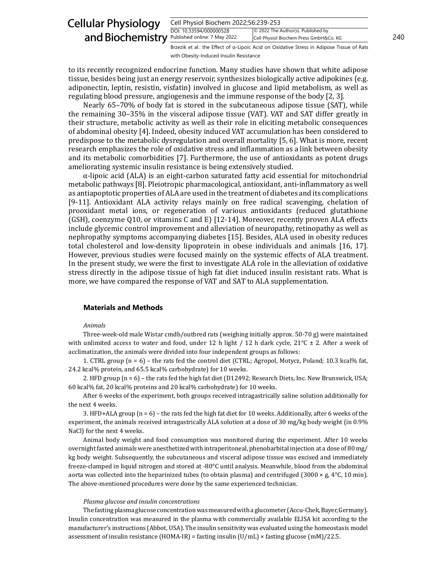| <b>Cellular Physiology</b>                    | Cell Physiol Biochem 2022;56:239-253 |                                                                                                   |     |
|-----------------------------------------------|--------------------------------------|---------------------------------------------------------------------------------------------------|-----|
| and Biochemistry Published online: 7 May 2022 | DOI: 10.33594/000000528              | © 2022 The Author(s). Published by<br>Cell Physiol Biochem Press GmbH&Co. KG                      | 240 |
|                                               |                                      | Brzezik et al.: the Effect of $\alpha$ -Lipoic Acid on Oxidative Stress in Adipose Tissue of Rats |     |

to its recently recognized endocrine function. Many studies have shown that white adipose tissue, besides being just an energy reservoir, synthesizes biologically active adipokines (e.g. adiponectin, leptin, resistin, visfatin) involved in glucose and lipid metabolism, as well as regulating blood pressure, angiogenesis and the immune response of the body [2, 3].

with Obesity-Induced Insulin Resistance

Nearly 65–70% of body fat is stored in the subcutaneous adipose tissue (SAT), while the remaining 30–35% in the visceral adipose tissue (VAT). VAT and SAT differ greatly in their structure, metabolic activity as well as their role in eliciting metabolic consequences of abdominal obesity [4]. Indeed, obesity induced VAT accumulation has been considered to predispose to the metabolic dysregulation and overall mortality [5, 6]. What is more, recent research emphasizes the role of oxidative stress and inflammation as a link between obesity and its metabolic comorbidities [7]. Furthermore, the use of antioxidants as potent drugs ameliorating systemic insulin resistance is being extensively studied.

α-lipoic acid (ALA) is an eight-carbon saturated fatty acid essential for mitochondrial metabolic pathways [8]. Pleiotropic pharmacological, antioxidant, anti-inflammatory as well as antiapoptotic properties of ALA are used in the treatment of diabetes and its complications [9-11]. Antioxidant ALA activity relays mainly on free radical scavenging, chelation of prooxidant metal ions, or regeneration of various antioxidants (reduced glutathione (GSH), coenzyme Q10, or vitamins C and E) [12-14]. Moreover, recently proven ALA effects include glycemic control improvement and alleviation of neuropathy, retinopathy as well as nephropathy symptoms accompanying diabetes [15]. Besides, ALA used in obesity reduces total cholesterol and low-density lipoprotein in obese individuals and animals [16, 17]. However, previous studies were focused mainly on the systemic effects of ALA treatment. In the present study, we were the first to investigate ALA role in the alleviation of oxidative stress directly in the adipose tissue of high fat diet induced insulin resistant rats. What is more, we have compared the response of VAT and SAT to ALA supplementation.

### **Materials and Methods**

#### *Animals*

Three-week-old male Wistar cmdb/outbred rats (weighing initially approx. 50-70 g) were maintained with unlimited access to water and food, under 12 h light / 12 h dark cycle,  $21^{\circ}C \pm 2$ . After a week of acclimatization, the animals were divided into four independent groups as follows:

1. CTRL group (n = 6) – the rats fed the control diet (CTRL; Agropol, Motycz, Poland; 10.3 kcal% fat, 24.2 kcal% protein, and 65.5 kcal% carbohydrate) for 10 weeks.

2. HFD group (n = 6) – the rats fed the high fat diet (D12492; Research Diets, Inc. New Brunswick, USA; 60 kcal% fat, 20 kcal% proteins and 20 kcal% carbohydrate) for 10 weeks.

After 6 weeks of the experiment, both groups received intragastrically saline solution additionally for the next 4 weeks.

3. HFD+ALA group (n = 6) – the rats fed the high fat diet for 10 weeks. Additionally, after 6 weeks of the experiment, the animals received intragastrically ALA solution at a dose of 30 mg/kg body weight (in 0.9% NaCl) for the next 4 weeks.

Animal body weight and food consumption was monitored during the experiment. After 10 weeks overnight fasted animals were anesthetized with intraperitoneal, phenobarbital injection at a dose of 80 mg/ kg body weight. Subsequently, the subcutaneous and visceral adipose tissue was excised and immediately freeze-clamped in liquid nitrogen and stored at -80°C until analysis. Meanwhile, blood from the abdominal aorta was collected into the heparinized tubes (to obtain plasma) and centrifuged (3000  $\times$  g, 4 $\degree$ C, 10 min). The above-mentioned procedures were done by the same experienced technician.

#### *Plasma glucose and insulin concentrations*

The fasting plasma glucose concentration was measured with a glucometer (Accu-Chek, Bayer, Germany). Insulin concentration was measured in the plasma with commercially available ELISA kit according to the manufacturer's instructions (Abbot, USA). The insulin sensitivity was evaluated using the homeostasis model assessment of insulin resistance (HOMA-IR) = fasting insulin  $(U/mL) \times$  fasting glucose (mM)/22.5.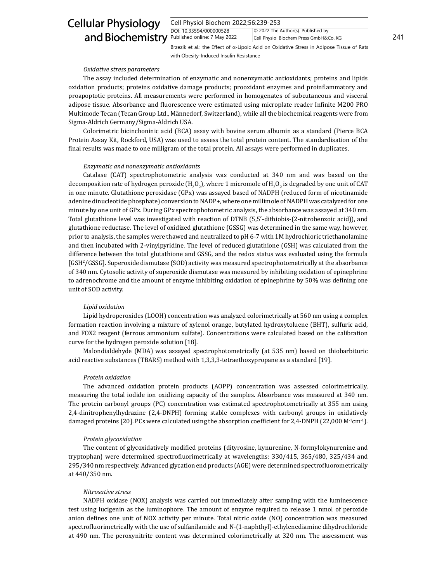# and Biochemistry **Published online: 7 May 2** Cellular Physiology

| Cell Physiol Biochem 2022;56:239-253 |                                        |     |
|--------------------------------------|----------------------------------------|-----|
| DOI: 10.33594/000000528              | © 2022 The Author(s). Published by     |     |
| Published online: 7 May 2022         | Cell Physiol Biochem Press GmbH&Co. KG | 241 |

Brzezik et al.: the Effect of α-Lipoic Acid on Oxidative Stress in Adipose Tissue of Rats with Obesity-Induced Insulin Resistance

#### *Oxidative stress parameters*

The assay included determination of enzymatic and nonenzymatic antioxidants; proteins and lipids oxidation products; proteins oxidative damage products; prooxidant enzymes and proinflammatory and proapoptotic proteins. All measurements were performed in homogenates of subcutaneous and visceral adipose tissue. Absorbance and fluorescence were estimated using microplate reader Infinite M200 PRO Multimode Tecan (Tecan Group Ltd., Männedorf, Switzerland), while all the biochemical reagents were from Sigma-Aldrich Germany/Sigma-Aldrich USA.

Colorimetric bicinchoninic acid (BCA) assay with bovine serum albumin as a standard (Pierce BCA Protein Assay Kit, Rockford, USA) was used to assess the total protein content. The standardisation of the final results was made to one milligram of the total protein. All assays were performed in duplicates.

#### *Enzymatic and nonenzymatic antioxidants*

Catalase (CAT) spectrophotometric analysis was conducted at 340 nm and was based on the decomposition rate of hydrogen peroxide (H<sub>2</sub>O<sub>2</sub>), where 1 micromole of H<sub>2</sub>O<sub>2</sub> is degraded by one unit of CAT in one minute. Glutathione peroxidase (GPx) was assayed based of NADPH (reduced form of nicotinamide adenine dinucleotide phosphate) conversion to NADP+, where one millimole of NADPH was catalyzed for one minute by one unit of GPx. During GPx spectrophotometric analysis, the absorbance was assayed at 340 nm. Total glutathione level was investigated with reaction of DTNB (5,5′-dithiobis-(2-nitrobenzoic acid)), and glutathione reductase. The level of oxidized glutathione (GSSG) was determined in the same way, however, prior to analysis, the samples were thawed and neutralized to pH 6-7 with 1M hydrochloric triethanolamine and then incubated with 2-vinylpyridine. The level of reduced glutathione (GSH) was calculated from the difference between the total glutathione and GSSG, and the redox status was evaluated using the formula [GSH2 /GSSG]. Superoxide dismutase (SOD) activity was measured spectrophotometrically at the absorbance of 340 nm. Cytosolic activity of superoxide dismutase was measured by inhibiting oxidation of epinephrine to adrenochrome and the amount of enzyme inhibiting oxidation of epinephrine by 50% was defining one unit of SOD activity.

#### *Lipid oxidation*

Lipid hydroperoxides (LOOH) concentration was analyzed colorimetrically at 560 nm using a complex formation reaction involving a mixture of xylenol orange, butylated hydroxytoluene (BHT), sulfuric acid, and FOX2 reagent (ferrous ammonium sulfate). Concentrations were calculated based on the calibration curve for the hydrogen peroxide solution [18].

Malondialdehyde (MDA) was assayed spectrophotometrically (at 535 nm) based on thiobarbituric acid reactive substances (TBARS) method with 1,3,3,3-tetraethoxypropane as a standard [19].

#### *Protein oxidation*

The advanced oxidation protein products (AOPP) concentration was assessed colorimetrically, measuring the total iodide ion oxidizing capacity of the samples. Absorbance was measured at 340 nm. The protein carbonyl groups (PC) concentration was estimated spectrophotometrically at 355 nm using 2,4-dinitrophenylhydrazine (2,4-DNPH) forming stable complexes with carbonyl groups in oxidatively damaged proteins [20]. PCs were calculated using the absorption coefficient for 2,4-DNPH (22,000 M<sup>-1</sup>cm<sup>-1</sup>).

#### *Protein glycoxidation*

The content of glycoxidatively modified proteins (dityrosine, kynurenine, N-formylokynurenine and tryptophan) were determined spectrofluorimetrically at wavelengths: 330/415, 365/480, 325/434 and 295/340 nm respectively. Advanced glycation end products (AGE) were determined spectrofluorometrically at 440/350 nm.

#### *Nitrosative stress*

NADPH oxidase (NOX) analysis was carried out immediately after sampling with the luminescence test using lucigenin as the luminophore. The amount of enzyme required to release 1 nmol of peroxide anion defines one unit of NOX activity per minute. Total nitric oxide (NO) concentration was measured spectrofluorimetrically with the use of sulfanilamide and N-(1-naphthyl)-ethylenediamine dihydrochloride at 490 nm. The peroxynitrite content was determined colorimetrically at 320 nm. The assessment was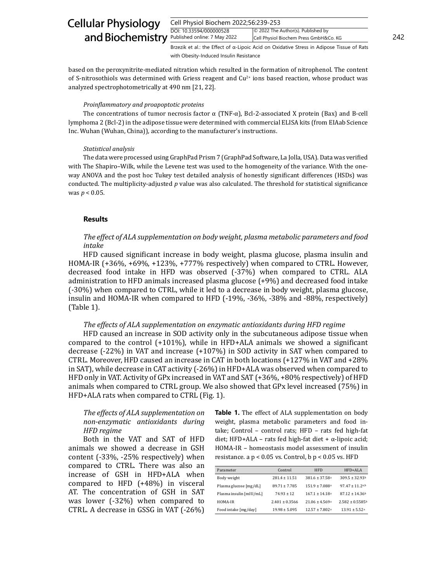| Cell Physiol Biochem 2022;56:239-253 |                                        |     |
|--------------------------------------|----------------------------------------|-----|
| DOI: 10.33594/000000528              | © 2022 The Author(s). Published by     |     |
| Published online: 7 May 2022         | Cell Physiol Biochem Press GmbH&Co. KG | 242 |

Brzezik et al.: the Effect of α-Lipoic Acid on Oxidative Stress in Adipose Tissue of Rats with Obesity-Induced Insulin Resistance

based on the peroxynitrite-mediated nitration which resulted in the formation of nitrophenol. The content of S-nitrosothiols was determined with Griess reagent and  $Cu<sup>2+</sup>$  ions based reaction, whose product was analyzed spectrophotometrically at 490 nm [21, 22].

#### *Proinflammatory and proapoptotic proteins*

The concentrations of tumor necrosis factor α (TNF-α), Bcl-2-associated X protein (Bax) and B-cell lymphoma 2 (Bcl-2) in the adipose tissue were determined with commercial ELISA kits (from EIAab Science Inc. Wuhan (Wuhan, China)), according to the manufacturer's instructions.

#### *Statistical analysis*

The data were processed using GraphPad Prism 7 (GraphPad Software, La Jolla, USA). Data was verified with The Shapiro–Wilk, while the Levene test was used to the homogeneity of the variance. With the oneway ANOVA and the post hoc Tukey test detailed analysis of honestly significant differences (HSDs) was conducted. The multiplicity-adjusted *p* value was also calculated. The threshold for statistical significance was *p* < 0.05.

#### **Results**

### *The effect of ALA supplementation on body weight, plasma metabolic parameters and food intake*

HFD caused significant increase in body weight, plasma glucose, plasma insulin and HOMA-IR (+36%, +69%, +123%, +777% respectively) when compared to CTRL. However, decreased food intake in HFD was observed (-37%) when compared to CTRL. ALA administration to HFD animals increased plasma glucose (+9%) and decreased food intake (-30%) when compared to CTRL, while it led to a decrease in body weight, plasma glucose, insulin and HOMA-IR when compared to HFD (-19%, -36%, -38% and -88%, respectively) (Table 1).

#### *The effects of ALA supplementation on enzymatic antioxidants during HFD regime*

HFD caused an increase in SOD activity only in the subcutaneous adipose tissue when compared to the control (+101%), while in HFD+ALA animals we showed a significant decrease (-22%) in VAT and increase (+107%) in SOD activity in SAT when compared to CTRL. Moreover, HFD caused an increase in CAT in both locations (+127% in VAT and +28% in SAT), while decrease in CAT activity (-26%) in HFD+ALA was observed when compared to HFD only in VAT. Activity of GPx increased in VAT and SAT (+36%, +80% respectively) of HFD animals when compared to CTRL group. We also showed that GPx level increased (75%) in HFD+ALA rats when compared to CTRL (Fig. 1).

### *The effects of ALA supplementation on non-enzymatic antioxidants during HFD regime*

Both in the VAT and SAT of HFD animals we showed a decrease in GSH content (-33%, -25% respectively) when compared to CTRL. There was also an increase of GSH in HFD+ALA when compared to HFD (+48%) in visceral AT. The concentration of GSH in SAT was lower (-32%) when compared to CTRL. A decrease in GSSG in VAT (-26%) **Table 1.** The effect of ALA supplementation on body weight, plasma metabolic parameters and food intake; Control – control rats; HFD – rats fed high-fat diet; HFD+ALA – rats fed high-fat diet + α-lipoic acid; HOMA-IR – homeostasis model assessment of insulin resistance. a  $p < 0.05$  vs. Control, b  $p < 0.05$  vs. HFD

| Parameter               | Control            | <b>HFD</b>          | $HFD+AI.A$                      |
|-------------------------|--------------------|---------------------|---------------------------------|
| Body weight             | $281.4 \pm 11.51$  | $381.6 \pm 37.58$ a | $309.5 \pm 32.93$ <sup>b</sup>  |
| Plasma glucose [mg/dL]  | $89.71 \pm 7.785$  | $151.9 \pm 7.088$ a | $97.47 \pm 11.2$ a,b            |
| Plasma insulin [mIU/mL] | $74.93 \pm 12$     | $167.1 \pm 14.18$ a | $87.12 \pm 14.36$               |
| HOMA-IR                 | $2.401 \pm 0.3566$ | $21.06 \pm 4.569$ a | $2.582 \pm 0.5585$ <sup>b</sup> |
| Food intake [mg/day]    | $19.98 \pm 5.095$  | $12.57 \pm 7.802$ a | $13.91 \pm 5.52a$               |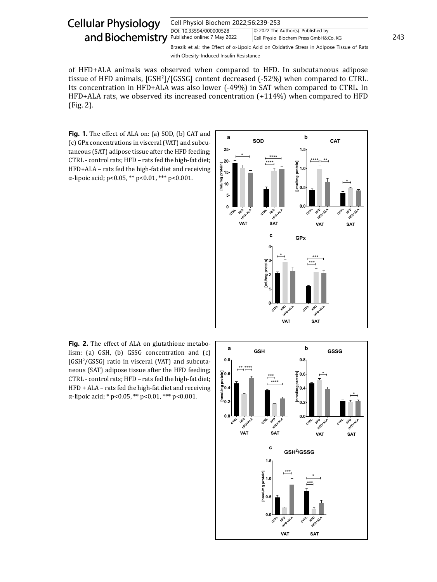#### Cell Physiol Biochem 2022;56:239-253 DOI: 10.33594/000000528 Published online: 7 May 2022 Cell Physiol Biochem Press GmbH&Co. KG 243 Cellular Physiology and Biochemistry Published online: 7 May 2022 © 2022 The Author(s). Published by Brzezik et al.: the Effect of α-Lipoic Acid on Oxidative Stress in Adipose Tissue of Rats

with Obesity-Induced Insulin Resistance

of HFD+ALA animals was observed when compared to HFD. In subcutaneous adipose tissue of HFD animals, [GSH<sup>2</sup>]/[GSSG] content decreased (-52%) when compared to CTRL. Its concentration in HFD+ALA was also lower (-49%) in SAT when compared to CTRL. In HFD+ALA rats, we observed its increased concentration (+114%) when compared to HFD (Fig. 2).

**Fig. 1.** The effect of ALA on: (a) SOD, (b) CAT and (c) GPx concentrations in visceral (VAT) and subcutaneous (SAT) adipose tissue after the HFD feeding; CTRL - control rats; HFD – rats fed the high-fat diet; HFD+ALA – rats fed the high-fat diet and receiving α-lipoic acid; p<0.05, \*\* p<0.01, \*\*\* p<0.001.



**Fig. 2.** The effect of ALA on glutathione metabolism: (a) GSH, (b) GSSG concentration and (c) [GSH2 /GSSG] ratio in visceral (VAT) and subcutaneous (SAT) adipose tissue after the HFD feeding; CTRL - control rats; HFD – rats fed the high-fat diet; HFD + ALA – rats fed the high-fat diet and receiving α-lipoic acid; \* p<0.05, \*\* p<0.01, \*\*\* p<0.001.

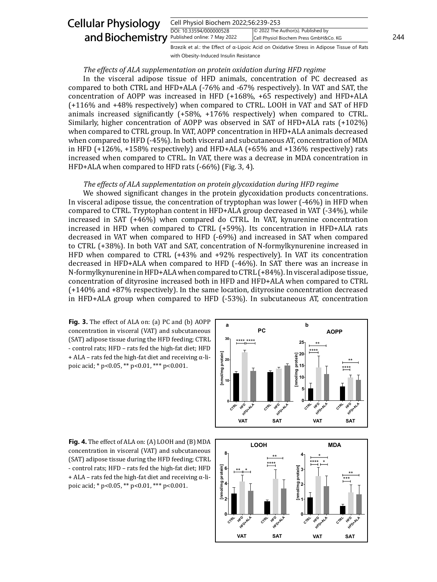#### Cell Physiol Biochem 2022;56:239-253 DOI: 10.33594/000000528 Published online: 7 May 2022 Cell Physiol Biochem Press GmbH&Co. KG 244 Cellular Physiology and Biochemistry Published online: 7 May 2022 © 2022 The Author(s). Published by Brzezik et al.: the Effect of α-Lipoic Acid on Oxidative Stress in Adipose Tissue of Rats

### *The effects of ALA supplementation on protein oxidation during HFD regime*

with Obesity-Induced Insulin Resistance

In the visceral adipose tissue of HFD animals, concentration of PC decreased as compared to both CTRL and HFD+ALA (-76% and -67% respectively). In VAT and SAT, the concentration of AOPP was increased in HFD (+168%, +65 respectively) and HFD+ALA (+116% and +48% respectively) when compared to CTRL. LOOH in VAT and SAT of HFD animals increased significantly (+58%, +176% respectively) when compared to CTRL. Similarly, higher concentration of AOPP was observed in SAT of HFD+ALA rats (+102%) when compared to CTRL group. In VAT, AOPP concentration in HFD+ALA animals decreased when compared to HFD (-45%). In both visceral and subcutaneous AT, concentration of MDA in HFD (+126%, +158% respectively) and HFD+ALA (+65% and +136% respectively) rats increased when compared to CTRL. In VAT, there was a decrease in MDA concentration in HFD+ALA when compared to HFD rats (-66%) (Fig. 3, 4).

#### *The effects of ALA supplementation on protein glycoxidation during HFD regime*

We showed significant changes in the protein glycoxidation products concentrations. In visceral adipose tissue, the concentration of tryptophan was lower (-46%) in HFD when compared to CTRL. Tryptophan content in HFD+ALA group decreased in VAT (-34%), while increased in SAT (+46%) when compared do CTRL. In VAT, kynurenine concentration increased in HFD when compared to CTRL (+59%). Its concentration in HFD+ALA rats decreased in VAT when compared to HFD (-69%) and increased in SAT when compared to CTRL (+38%). In both VAT and SAT, concentration of N-formylkynurenine increased in HFD when compared to CTRL (+43% and +92% respectively). In VAT its concentration decreased in HFD+ALA when compared to HFD (-46%). In SAT there was an increase in N-formylkynurenine in HFD+ALA when compared to CTRL (+84%). In visceral adipose tissue, concentration of dityrosine increased both in HFD and HFD+ALA when compared to CTRL (+140% and +87% respectively). In the same location, dityrosine concentration decreased in HFD+ALA group when compared to HFD (-53%). In subcutaneous AT, concentration

**Fig. 3.** The effect of ALA on: (a) PC and (b) AOPP concentration in visceral (VAT) and subcutaneous (SAT) adipose tissue during the HFD feeding; CTRL - control rats; HFD – rats fed the high-fat diet; HFD  $+$  ALA – rats fed the high-fat diet and receiving  $\alpha$ -lipoic acid; \* p<0.05, \*\* p<0.01, \*\*\* p<0.001.



**Fig. 4.** The effect of ALA on: (A) LOOH and (B) MDA concentration in visceral (VAT) and subcutaneous (SAT) adipose tissue during the HFD feeding; CTRL - control rats; HFD – rats fed the high-fat diet; HFD  $+$  ALA – rats fed the high-fat diet and receiving  $\alpha$ -lipoic acid; \* p<0.05, \*\* p<0.01, \*\*\* p<0.001.

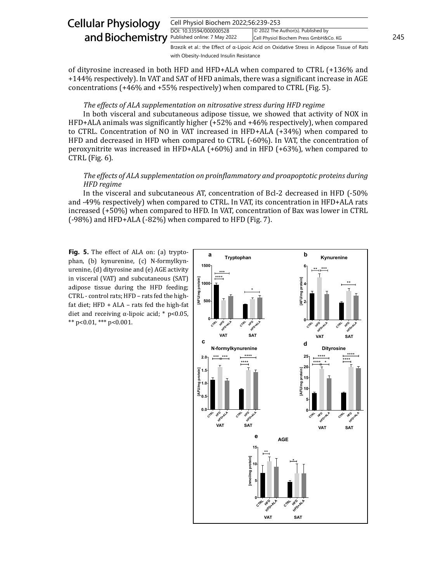| <b>Cellular Physiology</b>                           | Cell Physiol Biochem 2022;56:239-253 |                                                                                                   |     |
|------------------------------------------------------|--------------------------------------|---------------------------------------------------------------------------------------------------|-----|
| and Biochemistry <b>Published online:</b> 7 May 2022 | DOI: 10.33594/000000528              | © 2022 The Author(s). Published by<br>Cell Physiol Biochem Press GmbH&Co. KG                      | 245 |
|                                                      |                                      | Brzezik et al.: the Effect of $\alpha$ -Lipoic Acid on Oxidative Stress in Adipose Tissue of Rats |     |

with Obesity-Induced Insulin Resistance

of dityrosine increased in both HFD and HFD+ALA when compared to CTRL (+136% and +144% respectively). In VAT and SAT of HFD animals, there was a significant increase in AGE concentrations (+46% and +55% respectively) when compared to CTRL (Fig. 5).

### *The effects of ALA supplementation on nitrosative stress during HFD regime*

In both visceral and subcutaneous adipose tissue, we showed that activity of NOX in HFD+ALA animals was significantly higher (+52% and +46% respectively), when compared to CTRL. Concentration of NO in VAT increased in HFD+ALA (+34%) when compared to HFD and decreased in HFD when compared to CTRL (-60%). In VAT, the concentration of peroxynitrite was increased in HFD+ALA (+60%) and in HFD (+63%), when compared to CTRL (Fig. 6).

## *The effects of ALA supplementation on proinflammatory and proapoptotic proteins during HFD regime*

In the visceral and subcutaneous AT, concentration of Bcl-2 decreased in HFD (-50% and -49% respectively) when compared to CTRL. In VAT, its concentration in HFD+ALA rats increased (+50%) when compared to HFD. In VAT, concentration of Bax was lower in CTRL (-98%) and HFD+ALA (-82%) when compared to HFD (Fig. 7).

**Fig. 5.** The effect of ALA on: (a) tryptophan, (b) kynurenine, (c) N-formylkynurenine, (d) dityrosine and (e) AGE activity in visceral (VAT) and subcutaneous (SAT) adipose tissue during the HFD feeding; CTRL - control rats; HFD – rats fed the highfat diet; HFD + ALA – rats fed the high-fat diet and receiving α-lipoic acid; \* p<0.05, \*\* p<0.01, \*\*\* p<0.001.

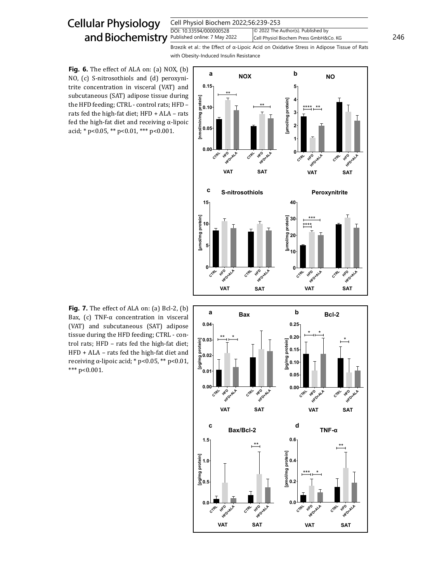| Cell Physiol Biochem 2022;56:239-253 |                                        |     |
|--------------------------------------|----------------------------------------|-----|
| DOI: 10.33594/000000528              | © 2022 The Author(s). Published by     |     |
| Published online: 7 May 2022         | Cell Physiol Biochem Press GmbH&Co. KG | 246 |

Brzezik et al.: the Effect of α-Lipoic Acid on Oxidative Stress in Adipose Tissue of Rats with Obesity-Induced Insulin Resistance

**Fig. 6.** The effect of ALA on: (a) NOX, (b) NO, (c) S-nitrosothiols and (d) peroxynitrite concentration in visceral (VAT) and subcutaneous (SAT) adipose tissue during the HFD feeding; CTRL - control rats; HFD – rats fed the high-fat diet; HFD + ALA – rats fed the high-fat diet and receiving  $\alpha$ -lipoic acid; \* p<0.05, \*\* p<0.01, \*\*\* p<0.001.



**Fig. 7.** The effect of ALA on: (a) Bcl-2, (b) Bax, (c) TNF-α concentration in visceral (VAT) and subcutaneous (SAT) adipose tissue during the HFD feeding; CTRL - control rats; HFD – rats fed the high-fat diet; HFD + ALA – rats fed the high-fat diet and receiving α-lipoic acid; \* p<0.05, \*\* p<0.01, \*\*\* p<0.001.

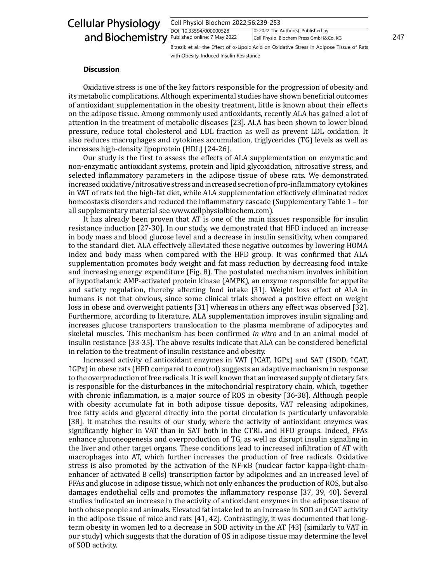| Cell Physiol Biochem 2022;56:239-253 |                                        |     |
|--------------------------------------|----------------------------------------|-----|
| DOI: 10.33594/000000528              | © 2022 The Author(s). Published by     |     |
| Published online: 7 May 2022         | Cell Physiol Biochem Press GmbH&Co. KG | 247 |

Brzezik et al.: the Effect of α-Lipoic Acid on Oxidative Stress in Adipose Tissue of Rats with Obesity-Induced Insulin Resistance

### **Discussion**

Oxidative stress is one of the key factors responsible for the progression of obesity and its metabolic complications. Although experimental studies have shown beneficial outcomes of antioxidant supplementation in the obesity treatment, little is known about their effects on the adipose tissue. Among commonly used antioxidants, recently ALA has gained a lot of attention in the treatment of metabolic diseases [23]. ALA has been shown to lower blood pressure, reduce total cholesterol and LDL fraction as well as prevent LDL oxidation. It also reduces macrophages and cytokines accumulation, triglycerides (TG) levels as well as increases high-density lipoprotein (HDL) [24-26].

Our study is the first to assess the effects of ALA supplementation on enzymatic and non-enzymatic antioxidant systems, protein and lipid glycoxidation, nitrosative stress, and selected inflammatory parameters in the adipose tissue of obese rats. We demonstrated increased oxidative/nitrosative stress and increased secretion of pro-inflammatory cytokines in VAT of rats fed the high-fat diet, while ALA supplementation effectively eliminated redox homeostasis disorders and reduced the inflammatory cascade (Supplementary Table 1 – for all supplementary material see www.cellphysiolbiochem.com).

It has already been proven that AT is one of the main tissues responsible for insulin resistance induction [27-30]. In our study, we demonstrated that HFD induced an increase in body mass and blood glucose level and a decrease in insulin sensitivity, when compared to the standard diet. ALA effectively alleviated these negative outcomes by lowering HOMA index and body mass when compared with the HFD group. It was confirmed that ALA supplementation promotes body weight and fat mass reduction by decreasing food intake and increasing energy expenditure (Fig. 8). The postulated mechanism involves inhibition of hypothalamic AMP-activated protein kinase (AMPK), an enzyme responsible for appetite and satiety regulation, thereby affecting food intake [31]. Weight loss effect of ALA in humans is not that obvious, since some clinical trials showed a positive effect on weight loss in obese and overweight patients [31] whereas in others any effect was observed [32]. Furthermore, according to literature, ALA supplementation improves insulin signaling and increases glucose transporters translocation to the plasma membrane of adipocytes and skeletal muscles. This mechanism has been confirmed *in vitro* and in an animal model of insulin resistance [33-35]. The above results indicate that ALA can be considered beneficial in relation to the treatment of insulin resistance and obesity.

Increased activity of antioxidant enzymes in VAT (↑CAT, ↑GPx) and SAT (↑SOD, ↑CAT, ↑GPx) in obese rats (HFD compared to control) suggests an adaptive mechanism in response to the overproduction of free radicals. It is well known that an increased supply of dietary fats is responsible for the disturbances in the mitochondrial respiratory chain, which, together with chronic inflammation, is a major source of ROS in obesity [36-38]. Although people with obesity accumulate fat in both adipose tissue deposits, VAT releasing adipokines, free fatty acids and glycerol directly into the portal circulation is particularly unfavorable [38]. It matches the results of our study, where the activity of antioxidant enzymes was significantly higher in VAT than in SAT both in the CTRL and HFD groups. Indeed, FFAs enhance gluconeogenesis and overproduction of TG, as well as disrupt insulin signaling in the liver and other target organs. These conditions lead to increased infiltration of AT with macrophages into AT, which further increases the production of free radicals. Oxidative stress is also promoted by the activation of the NF-κB (nuclear factor kappa-light-chainenhancer of activated B cells) transcription factor by adipokines and an increased level of FFAs and glucose in adipose tissue, which not only enhances the production of ROS, but also damages endothelial cells and promotes the inflammatory response [37, 39, 40]. Several studies indicated an increase in the activity of antioxidant enzymes in the adipose tissue of both obese people and animals. Elevated fat intake led to an increase in SOD and CAT activity in the adipose tissue of mice and rats [41, 42]. Contrastingly, it was documented that longterm obesity in women led to a decrease in SOD activity in the AT [43] (similarly to VAT in our study) which suggests that the duration of OS in adipose tissue may determine the level of SOD activity.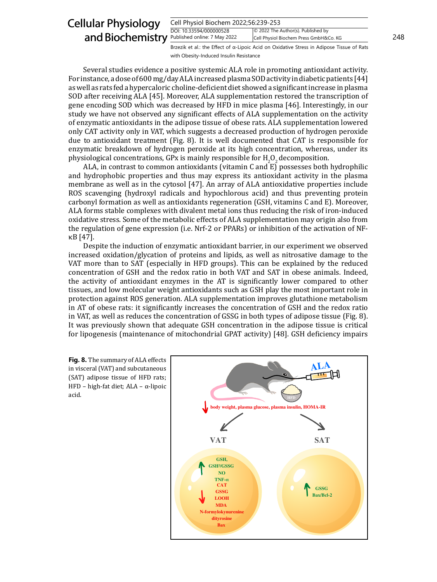#### Cell Physiol Biochem 2022;56:239-253 DOI: 10.33594/000000528 and Biochemistry **Published online: 7 May 2022** Cell Physiol Biochem Press GmbH&Co. KG 248 Cellular Physiology © 2022 The Author(s). Published by Cell Physiol Biochem Press GmbH&Co. KG Brzezik et al.: the Effect of α-Lipoic Acid on Oxidative Stress in Adipose Tissue of Rats

with Obesity-Induced Insulin Resistance

Several studies evidence a positive systemic ALA role in promoting antioxidant activity. For instance, a dose of 600 mg/day ALA increased plasma SOD activity in diabetic patients [44] as well as rats fed a hypercaloric choline-deficient diet showed a significant increase in plasma SOD after receiving ALA [45]. Moreover, ALA supplementation restored the transcription of gene encoding SOD which was decreased by HFD in mice plasma [46]. Interestingly, in our study we have not observed any significant effects of ALA supplementation on the activity of enzymatic antioxidants in the adipose tissue of obese rats. ALA supplementation lowered only CAT activity only in VAT, which suggests a decreased production of hydrogen peroxide due to antioxidant treatment (Fig. 8). It is well documented that CAT is responsible for enzymatic breakdown of hydrogen peroxide at its high concentration, whereas, under its physiological concentrations, GPx is mainly responsible for  $H_2O_2$  decomposition.

ALA, in contrast to common antioxidants (vitamin C and E) possesses both hydrophilic and hydrophobic properties and thus may express its antioxidant activity in the plasma membrane as well as in the cytosol [47]. An array of ALA antioxidative properties include ROS scavenging (hydroxyl radicals and hypochlorous acid) and thus preventing protein carbonyl formation as well as antioxidants regeneration (GSH, vitamins C and E). Moreover, ALA forms stable complexes with divalent metal ions thus reducing the risk of iron-induced oxidative stress. Some of the metabolic effects of ALA supplementation may origin also from the regulation of gene expression (i.e. Nrf-2 or PPARs) or inhibition of the activation of NFκB [47].

Despite the induction of enzymatic antioxidant barrier, in our experiment we observed increased oxidation/glycation of proteins and lipids, as well as nitrosative damage to the VAT more than to SAT (especially in HFD groups). This can be explained by the reduced concentration of GSH and the redox ratio in both VAT and SAT in obese animals. Indeed, the activity of antioxidant enzymes in the AT is significantly lower compared to other tissues, and low molecular weight antioxidants such as GSH play the most important role in protection against ROS generation. ALA supplementation improves glutathione metabolism in AT of obese rats: it significantly increases the concentration of GSH and the redox ratio in VAT, as well as reduces the concentration of GSSG in both types of adipose tissue (Fig. 8). It was previously shown that adequate GSH concentration in the adipose tissue is critical for lipogenesis (maintenance of mitochondrial GPAT activity) [48]. GSH deficiency impairs

**Fig. 8.** The summary of ALA effects in visceral (VAT) and subcutaneous (SAT) adipose tissue of HFD rats; HFD – high-fat diet; ALA – α-lipoic acid.

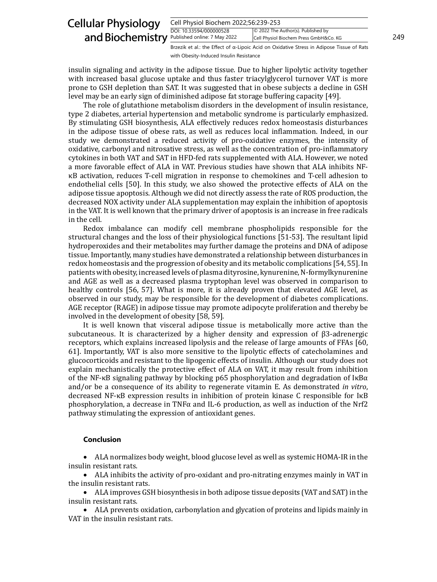#### Cell Physiol Biochem 2022;56:239-253 DOI: 10.33594/000000528 Published online: 7 May 2022 Cell Physiol Biochem Press GmbH&Co. KG 249 Cellular Physiology and Biochemistry Published online: 7 May 2022 © 2022 The Author(s). Published by Brzezik et al.: the Effect of α-Lipoic Acid on Oxidative Stress in Adipose Tissue of Rats

with Obesity-Induced Insulin Resistance

insulin signaling and activity in the adipose tissue. Due to higher lipolytic activity together with increased basal glucose uptake and thus faster triacylglycerol turnover VAT is more prone to GSH depletion than SAT. It was suggested that in obese subjects a decline in GSH level may be an early sign of diminished adipose fat storage buffering capacity [49].

The role of glutathione metabolism disorders in the development of insulin resistance, type 2 diabetes, arterial hypertension and metabolic syndrome is particularly emphasized. By stimulating GSH biosynthesis, ALA effectively reduces redox homeostasis disturbances in the adipose tissue of obese rats, as well as reduces local inflammation. Indeed, in our study we demonstrated a reduced activity of pro-oxidative enzymes, the intensity of oxidative, carbonyl and nitrosative stress, as well as the concentration of pro-inflammatory cytokines in both VAT and SAT in HFD-fed rats supplemented with ALA. However, we noted a more favorable effect of ALA in VAT. Previous studies have shown that ALA inhibits NFκB activation, reduces T-cell migration in response to chemokines and T-cell adhesion to endothelial cells [50]. In this study, we also showed the protective effects of ALA on the adipose tissue apoptosis. Although we did not directly assess the rate of ROS production, the decreased NOX activity under ALA supplementation may explain the inhibition of apoptosis in the VAT. It is well known that the primary driver of apoptosis is an increase in free radicals in the cell.

Redox imbalance can modify cell membrane phospholipids responsible for the structural changes and the loss of their physiological functions [51-53]. The resultant lipid hydroperoxides and their metabolites may further damage the proteins and DNA of adipose tissue. Importantly, many studies have demonstrated a relationship between disturbances in redox homeostasis and the progression of obesity and its metabolic complications [54, 55]. In patients with obesity, increased levels of plasma dityrosine, kynurenine, N-formylkynurenine and AGE as well as a decreased plasma tryptophan level was observed in comparison to healthy controls [56, 57]. What is more, it is already proven that elevated AGE level, as observed in our study, may be responsible for the development of diabetes complications. AGE receptor (RAGE) in adipose tissue may promote adipocyte proliferation and thereby be involved in the development of obesity [58, 59].

It is well known that visceral adipose tissue is metabolically more active than the subcutaneous. It is characterized by a higher density and expression of β3-adrenergic receptors, which explains increased lipolysis and the release of large amounts of FFAs [60, 61]. Importantly, VAT is also more sensitive to the lipolytic effects of catecholamines and glucocorticoids and resistant to the lipogenic effects of insulin. Although our study does not explain mechanistically the protective effect of ALA on VAT, it may result from inhibition of the NF-κB signaling pathway by blocking p65 phosphorylation and degradation of IκBα and/or be a consequence of its ability to regenerate vitamin E. As demonstrated *in vitro*, decreased NF-κB expression results in inhibition of protein kinase C responsible for IκB phosphorylation, a decrease in TNF $\alpha$  and IL-6 production, as well as induction of the Nrf2 pathway stimulating the expression of antioxidant genes.

### **Conclusion**

• ALA normalizes body weight, blood glucose level as well as systemic HOMA-IR in the insulin resistant rats.

• ALA inhibits the activity of pro-oxidant and pro-nitrating enzymes mainly in VAT in the insulin resistant rats.

ALA improves GSH biosynthesis in both adipose tissue deposits (VAT and SAT) in the insulin resistant rats.

ALA prevents oxidation, carbonylation and glycation of proteins and lipids mainly in VAT in the insulin resistant rats.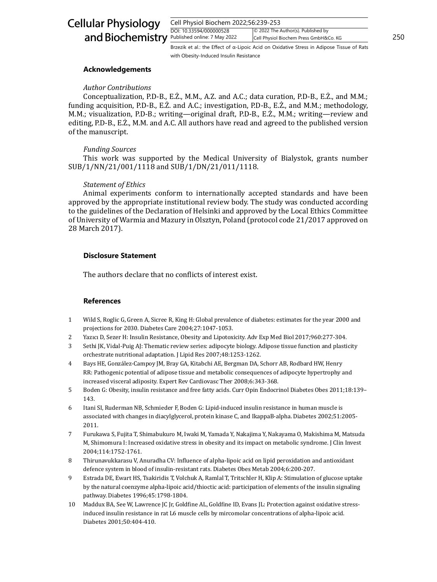| Cell Physiol Biochem 2022;56:239-253 |                                        |     |
|--------------------------------------|----------------------------------------|-----|
| DOI: 10.33594/000000528              | © 2022 The Author(s). Published by     |     |
| Published online: 7 May 2022         | Cell Physiol Biochem Press GmbH&Co. KG | 250 |

Brzezik et al.: the Effect of α-Lipoic Acid on Oxidative Stress in Adipose Tissue of Rats with Obesity-Induced Insulin Resistance

### **Acknowledgements**

## *Author Contributions*

Conceptualization, P.D-B., E.Ż., M.M., A.Z. and A.C.; data curation, P.D-B., E.Ż., and M.M.; funding acquisition, P.D-B., E.Ż. and A.C.; investigation, P.D-B., E.Ż., and M.M.; methodology, M.M.; visualization, P.D-B.; writing—original draft, P.D-B., E.Ż., M.M.; writing—review and editing, P.D-B., E.Ż., M.M. and A.C. All authors have read and agreed to the published version of the manuscript.

## *Funding Sources*

This work was supported by the Medical University of Bialystok, grants number SUB/1/NN/21/001/1118 and SUB/1/DN/21/011/1118.

## *Statement of Ethics*

Animal experiments conform to internationally accepted standards and have been approved by the appropriate institutional review body. The study was conducted according to the guidelines of the Declaration of Helsinki and approved by the Local Ethics Committee of University of Warmia and Mazury in Olsztyn, Poland (protocol code 21/2017 approved on 28 March 2017).

## **Disclosure Statement**

The authors declare that no conflicts of interest exist.

## **References**

- 1 Wild S, Roglic G, Green A, Sicree R, King H: Global prevalence of diabetes: estimates for the year 2000 and projections for 2030. Diabetes Care 2004;27:1047-1053.
- 2 Yazıcı D, Sezer H: Insulin Resistance, Obesity and Lipotoxicity. Adv Exp Med Biol 2017;960:277-304.
- Sethi JK, Vidal-Puig AJ: Thematic review series: adipocyte biology. Adipose tissue function and plasticity orchestrate nutritional adaptation. J Lipid Res 2007;48:1253-1262.
- 4 Bays HE, González-Campoy JM, Bray GA, Kitabchi AE, Bergman DA, Schorr AB, Rodbard HW, Henry RR: Pathogenic potential of adipose tissue and metabolic consequences of adipocyte hypertrophy and increased visceral adiposity. Expert Rev Cardiovasc Ther 2008;6:343-368.
- 5 Boden G: Obesity, insulin resistance and free fatty acids. Curr Opin Endocrinol Diabetes Obes 2011;18:139– 143.
- 6 Itani SI, Ruderman NB, Schmieder F, Boden G: Lipid-induced insulin resistance in human muscle is associated with changes in diacylglycerol, protein kinase C, and IkappaB-alpha. Diabetes 2002;51:2005- 2011.
- 7 Furukawa S, Fujita T, Shimabukuro M, Iwaki M, Yamada Y, Nakajima Y, Nakayama O, Makishima M, Matsuda M, Shimomura I: Increased oxidative stress in obesity and its impact on metabolic syndrome. J Clin Invest 2004;114:1752-1761.
- 8 Thirunavukkarasu V, Anuradha CV: Influence of alpha-lipoic acid on lipid peroxidation and antioxidant defence system in blood of insulin-resistant rats. Diabetes Obes Metab 2004;6:200-207.
- 9 Estrada DE, Ewart HS, Tsakiridis T, Volchuk A, Ramlal T, Tritschler H, Klip A: Stimulation of glucose uptake by the natural coenzyme alpha-lipoic acid/thioctic acid: participation of elements of the insulin signaling pathway. Diabetes 1996;45:1798-1804.
- 10 Maddux BA, See W, Lawrence JC Jr, Goldfine AL, Goldfine ID, Evans JL: Protection against oxidative stressinduced insulin resistance in rat L6 muscle cells by mircomolar concentrations of alpha-lipoic acid. Diabetes 2001;50:404-410.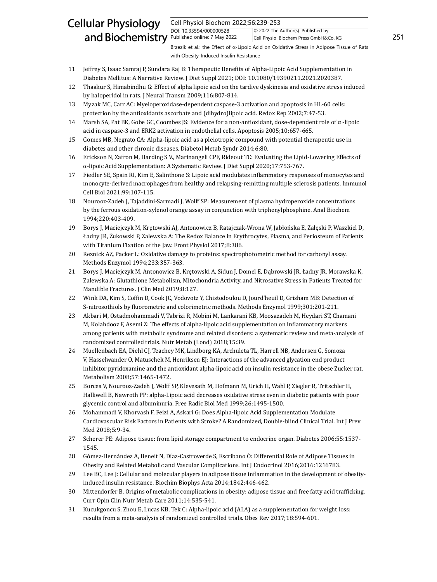Cell Physiol Biochem 2022;56:239-253

DOI: 10.33594/000000528 Published online: 7 May 2022 Cell Physiol Biochem Press GmbH&Co. KG 251 © 2022 The Author(s). Published by

Brzezik et al.: the Effect of α-Lipoic Acid on Oxidative Stress in Adipose Tissue of Rats with Obesity-Induced Insulin Resistance

- 11 Jeffrey S, Isaac Samraj P, Sundara Raj B: Therapeutic Benefits of Alpha-Lipoic Acid Supplementation in Diabetes Mellitus: A Narrative Review. J Diet Suppl 2021; DOI: 10.1080/19390211.2021.2020387.
- 12 Thaakur S, Himabindhu G: Effect of alpha lipoic acid on the tardive dyskinesia and oxidative stress induced by haloperidol in rats. J Neural Transm 2009;116:807-814.
- 13 Myzak MC, Carr AC: Myeloperoxidase-dependent caspase-3 activation and apoptosis in HL-60 cells: protection by the antioxidants ascorbate and (dihydro)lipoic acid. Redox Rep 2002;7:47-53.
- 14 Marsh SA, Pat BK, Gobe GC, Coombes JS: Evidence for a non-antioxidant, dose-dependent role of α -lipoic acid in caspase-3 and ERK2 activation in endothelial cells. Apoptosis 2005;10:657-665.
- 15 Gomes MB, Negrato CA: Alpha-lipoic acid as a pleiotropic compound with potential therapeutic use in diabetes and other chronic diseases. Diabetol Metab Syndr 2014;6:80.
- 16 Erickson N, Zafron M, Harding S V., Marinangeli CPF, Rideout TC: Evaluating the Lipid-Lowering Effects of α-lipoic Acid Supplementation: A Systematic Review. J Diet Suppl 2020;17:753-767.
- 17 Fiedler SE, Spain RI, Kim E, Salinthone S: Lipoic acid modulates inflammatory responses of monocytes and monocyte-derived macrophages from healthy and relapsing-remitting multiple sclerosis patients. Immunol Cell Biol 2021;99:107-115.
- 18 Nourooz-Zadeh J, Tajaddini-Sarmadi J, Wolff SP: Measurement of plasma hydroperoxide concentrations by the ferrous oxidation-xylenol orange assay in conjunction with triphenylphosphine. Anal Biochem 1994;220:403-409.
- 19 Borys J, Maciejczyk M, Krętowski AJ, Antonowicz B, Ratajczak-Wrona W, Jabłońska E, Załęski P, Waszkiel D, Ładny JR, Żukowski P, Zalewska A: The Redox Balance in Erythrocytes, Plasma, and Periosteum of Patients with Titanium Fixation of the Jaw. Front Physiol 2017;8:386.
- 20 Reznick AZ, Packer L: Oxidative damage to proteins: spectrophotometric method for carbonyl assay. Methods Enzymol 1994;233:357-363.
- 21 Borys J, Maciejczyk M, Antonowicz B, Krętowski A, Sidun J, Domel E, Dąbrowski JR, Ładny JR, Morawska K, Zalewska A: Glutathione Metabolism, Mitochondria Activity, and Nitrosative Stress in Patients Treated for Mandible Fractures. J Clin Med 2019;8:127.
- 22 Wink DA, Kim S, Coffin D, Cook JC, Vodovotz Y, Chistodoulou D, Jourd'heuil D, Grisham MB: Detection of S-nitrosothiols by fluorometric and colorimetric methods. Methods Enzymol 1999;301:201-211.
- 23 Akbari M, Ostadmohammadi V, Tabrizi R, Mobini M, Lankarani KB, Moosazadeh M, Heydari ST, Chamani M, Kolahdooz F, Asemi Z: The effects of alpha-lipoic acid supplementation on inflammatory markers among patients with metabolic syndrome and related disorders: a systematic review and meta-analysis of randomized controlled trials. Nutr Metab (Lond) 2018;15:39.
- 24 Muellenbach EA, Diehl CJ, Teachey MK, Lindborg KA, Archuleta TL, Harrell NB, Andersen G, Somoza V, Hasselwander O, Matuschek M, Henriksen EJ: Interactions of the advanced glycation end product inhibitor pyridoxamine and the antioxidant alpha-lipoic acid on insulin resistance in the obese Zucker rat. Metabolism 2008;57:1465-1472.
- 25 Borcea V, Nourooz-Zadeh J, Wolff SP, Klevesath M, Hofmann M, Urich H, Wahl P, Ziegler R, Tritschler H, Halliwell B, Nawroth PP: alpha-Lipoic acid decreases oxidative stress even in diabetic patients with poor glycemic control and albuminuria. Free Radic Biol Med 1999;26:1495-1500.
- 26 Mohammadi V, Khorvash F, Feizi A, Askari G: Does Alpha-lipoic Acid Supplementation Modulate Cardiovascular Risk Factors in Patients with Stroke? A Randomized, Double-blind Clinical Trial. Int J Prev Med 2018;5:9-34.
- 27 Scherer PE: Adipose tissue: from lipid storage compartment to endocrine organ. Diabetes 2006;55:1537- 1545.
- 28 Gómez-Hernández A, Beneit N, Díaz-Castroverde S, Escribano Ó: Differential Role of Adipose Tissues in Obesity and Related Metabolic and Vascular Complications. Int J Endocrinol 2016;2016:1216783.
- 29 Lee BC, Lee J: Cellular and molecular players in adipose tissue inflammation in the development of obesityinduced insulin resistance. Biochim Biophys Acta 2014;1842:446-462.
- 30 Mittendorfer B. Origins of metabolic complications in obesity: adipose tissue and free fatty acid trafficking. Curr Opin Clin Nutr Metab Care 2011;14:535-541.
- 31 Kucukgoncu S, Zhou E, Lucas KB, Tek C: Alpha-lipoic acid (ALA) as a supplementation for weight loss: results from a meta-analysis of randomized controlled trials. Obes Rev 2017;18:594-601.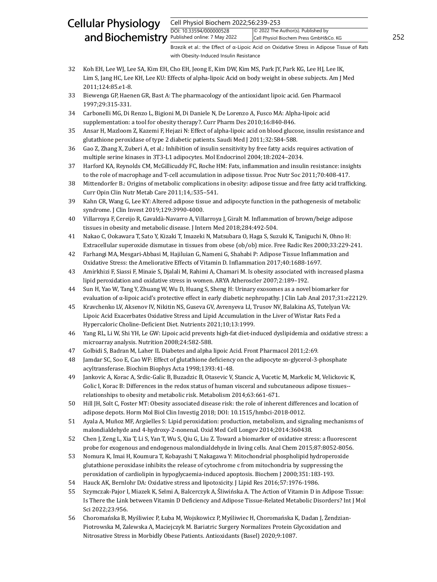Cell Physiol Biochem 2022;56:239-253

DOI: 10.33594/000000528 Published online: 7 May 2022 Cell Physiol Biochem Press GmbH&Co. KG 252 © 2022 The Author(s). Published by

Brzezik et al.: the Effect of α-Lipoic Acid on Oxidative Stress in Adipose Tissue of Rats with Obesity-Induced Insulin Resistance

- 32 Koh EH, Lee WJ, Lee SA, Kim EH, Cho EH, Jeong E, Kim DW, Kim MS, Park JY, Park KG, Lee HJ, Lee IK, Lim S, Jang HC, Lee KH, Lee KU: Effects of alpha-lipoic Acid on body weight in obese subjects. Am J Med 2011;124:85.e1-8.
- 33 Biewenga GP, Haenen GR, Bast A: The pharmacology of the antioxidant lipoic acid. Gen Pharmacol 1997;29:315-331.
- 34 Carbonelli MG, Di Renzo L, Bigioni M, Di Daniele N, De Lorenzo A, Fusco MA: Alpha-lipoic acid supplementation: a tool for obesity therapy?. Curr Pharm Des 2010;16:840-846.
- 35 Ansar H, Mazloom Z, Kazemi F, Hejazi N: Effect of alpha-lipoic acid on blood glucose, insulin resistance and glutathione peroxidase of type 2 diabetic patients. Saudi Med J 2011;32:584-588.
- 36 Gao Z, Zhang X, Zuberi A, et al.: Inhibition of insulin sensitivity by free fatty acids requires activation of multiple serine kinases in 3T3-L1 adipocytes. Mol Endocrinol 2004;18:2024–2034.
- 37 Harford KA, Reynolds CM, McGillicuddy FC, Roche HM: Fats, inflammation and insulin resistance: insights to the role of macrophage and T-cell accumulation in adipose tissue. Proc Nutr Soc 2011;70:408-417.
- 38 Mittendorfer B.: Origins of metabolic complications in obesity: adipose tissue and free fatty acid trafficking. Curr Opin Clin Nutr Metab Care 2011;14,:535–541.
- 39 Kahn CR, Wang G, Lee KY: Altered adipose tissue and adipocyte function in the pathogenesis of metabolic syndrome. J Clin Invest 2019;129:3990-4000.
- 40 Villarroya F, Cereijo R, Gavaldà-Navarro A, Villarroya J, Giralt M. Inflammation of brown/beige adipose tissues in obesity and metabolic disease. J Intern Med 2018;284:492-504.
- 41 Nakao C, Ookawara T, Sato Y, Kizaki T, Imazeki N, Matsubara O, Haga S, Suzuki K, Taniguchi N, Ohno H: Extracellular superoxide dismutase in tissues from obese (ob/ob) mice. Free Radic Res 2000;33:229-241.
- 42 Farhangi MA, Mesgari-Abbasi M, Hajiluian G, Nameni G, Shahabi P: Adipose Tissue Inflammation and Oxidative Stress: the Ameliorative Effects of Vitamin D. Inflammation 2017;40:1688-1697.
- 43 Amirkhizi F, Siassi F, Minaie S, Djalali M, Rahimi A, Chamari M. Is obesity associated with increased plasma lipid peroxidation and oxidative stress in women. ARYA Atheroscler 2007;2:189–192.
- 44 Sun H, Yao W, Tang Y, Zhuang W, Wu D, Huang S, Sheng H: Urinary exosomes as a novel biomarker for evaluation of α-lipoic acid's protective effect in early diabetic nephropathy. J Clin Lab Anal 2017;31:e22129.
- 45 Kravchenko LV, Aksenov IV, Nikitin NS, Guseva GV, Avrenyeva LI, Trusov NV, Balakina AS, Tutelyan VA: Lipoic Acid Exacerbates Oxidative Stress and Lipid Accumulation in the Liver of Wistar Rats Fed a Hypercaloric Choline-Deficient Diet. Nutrients 2021;10;13:1999.
- 46 Yang RL, Li W, Shi YH, Le GW: Lipoic acid prevents high-fat diet-induced dyslipidemia and oxidative stress: a microarray analysis. Nutrition 2008;24:582-588.
- 47 Golbidi S, Badran M, Laher IL Diabetes and alpha lipoic Acid. Front Pharmacol 2011;2:69.
- 48 Jamdar SC, Soo E, Cao WF: Effect of glutathione deficiency on the adipocyte sn-glycerol-3-phosphate acyltransferase. Biochim Biophys Acta 1998;1393:41-48.
- 49 Jankovic A, Korac A, Srdic-Galic B, Buzadzic B, Otasevic V, Stancic A, Vucetic M, Markelic M, Velickovic K, Golic I, Korac B: Differences in the redox status of human visceral and subcutaneous adipose tissues- relationships to obesity and metabolic risk. Metabolism 2014;63:661-671.
- 50 Hill JH, Solt C, Foster MT: Obesity associated disease risk: the role of inherent differences and location of adipose depots. Horm Mol Biol Clin Investig 2018; DOI: 10.1515/hmbci-2018-0012.
- 51 Ayala A, Muñoz MF, Argüelles S: Lipid peroxidation: production, metabolism, and signaling mechanisms of malondialdehyde and 4-hydroxy-2-nonenal. Oxid Med Cell Longev 2014;2014:360438.
- 52 Chen J, Zeng L, Xia T, Li S, Yan T, Wu S, Qiu G, Liu Z. Toward a biomarker of oxidative stress: a fluorescent probe for exogenous and endogenous malondialdehyde in living cells. Anal Chem 2015;87:8052-8056.
- 53 Nomura K, Imai H, Koumura T, Kobayashi T, Nakagawa Y: Mitochondrial phospholipid hydroperoxide glutathione peroxidase inhibits the release of cytochrome c from mitochondria by suppressing the peroxidation of cardiolipin in hypoglycaemia-induced apoptosis. Biochem J 2000;351:183-193.
- 54 Hauck AK, Bernlohr DA: Oxidative stress and lipotoxicity. J Lipid Res 2016;57:1976-1986.
- 55 Szymczak-Pajor I, Miazek K, Selmi A, Balcerczyk A, Śliwińska A. The Action of Vitamin D in Adipose Tissue: Is There the Link between Vitamin D Deficiency and Adipose Tissue-Related Metabolic Disorders? Int J Mol Sci 2022;23:956.
- 56 Choromańska B, Myśliwiec P, Łuba M, Wojskowicz P, Myśliwiec H, Choromańska K, Dadan J, Żendzian-Piotrowska M, Zalewska A, Maciejczyk M. Bariatric Surgery Normalizes Protein Glycoxidation and Nitrosative Stress in Morbidly Obese Patients. Antioxidants (Basel) 2020;9:1087.